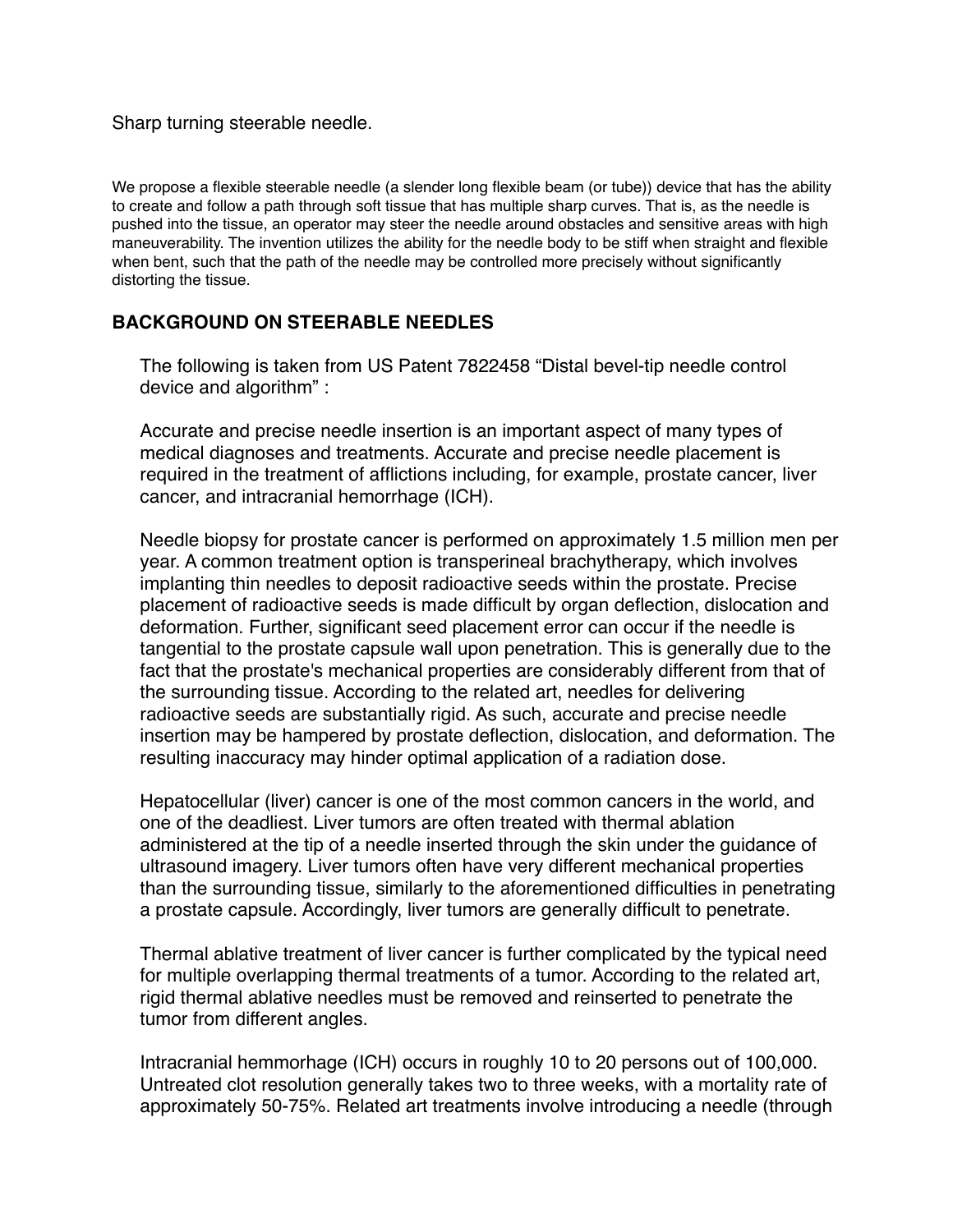Sharp turning steerable needle.

We propose a flexible steerable needle (a slender long flexible beam (or tube)) device that has the ability to create and follow a path through soft tissue that has multiple sharp curves. That is, as the needle is pushed into the tissue, an operator may steer the needle around obstacles and sensitive areas with high maneuverability. The invention utilizes the ability for the needle body to be stiff when straight and flexible when bent, such that the path of the needle may be controlled more precisely without significantly distorting the tissue.

## **BACKGROUND ON STEERABLE NEEDLES**

The following is taken from US Patent 7822458 "Distal bevel-tip needle control device and algorithm" :

Accurate and precise needle insertion is an important aspect of many types of medical diagnoses and treatments. Accurate and precise needle placement is required in the treatment of afflictions including, for example, prostate cancer, liver cancer, and intracranial hemorrhage (ICH).

Needle biopsy for prostate cancer is performed on approximately 1.5 million men per year. A common treatment option is transperineal brachytherapy, which involves implanting thin needles to deposit radioactive seeds within the prostate. Precise placement of radioactive seeds is made difficult by organ deflection, dislocation and deformation. Further, significant seed placement error can occur if the needle is tangential to the prostate capsule wall upon penetration. This is generally due to the fact that the prostate's mechanical properties are considerably different from that of the surrounding tissue. According to the related art, needles for delivering radioactive seeds are substantially rigid. As such, accurate and precise needle insertion may be hampered by prostate deflection, dislocation, and deformation. The resulting inaccuracy may hinder optimal application of a radiation dose.

Hepatocellular (liver) cancer is one of the most common cancers in the world, and one of the deadliest. Liver tumors are often treated with thermal ablation administered at the tip of a needle inserted through the skin under the guidance of ultrasound imagery. Liver tumors often have very different mechanical properties than the surrounding tissue, similarly to the aforementioned difficulties in penetrating a prostate capsule. Accordingly, liver tumors are generally difficult to penetrate.

Thermal ablative treatment of liver cancer is further complicated by the typical need for multiple overlapping thermal treatments of a tumor. According to the related art, rigid thermal ablative needles must be removed and reinserted to penetrate the tumor from different angles.

Intracranial hemmorhage (ICH) occurs in roughly 10 to 20 persons out of 100,000. Untreated clot resolution generally takes two to three weeks, with a mortality rate of approximately 50-75%. Related art treatments involve introducing a needle (through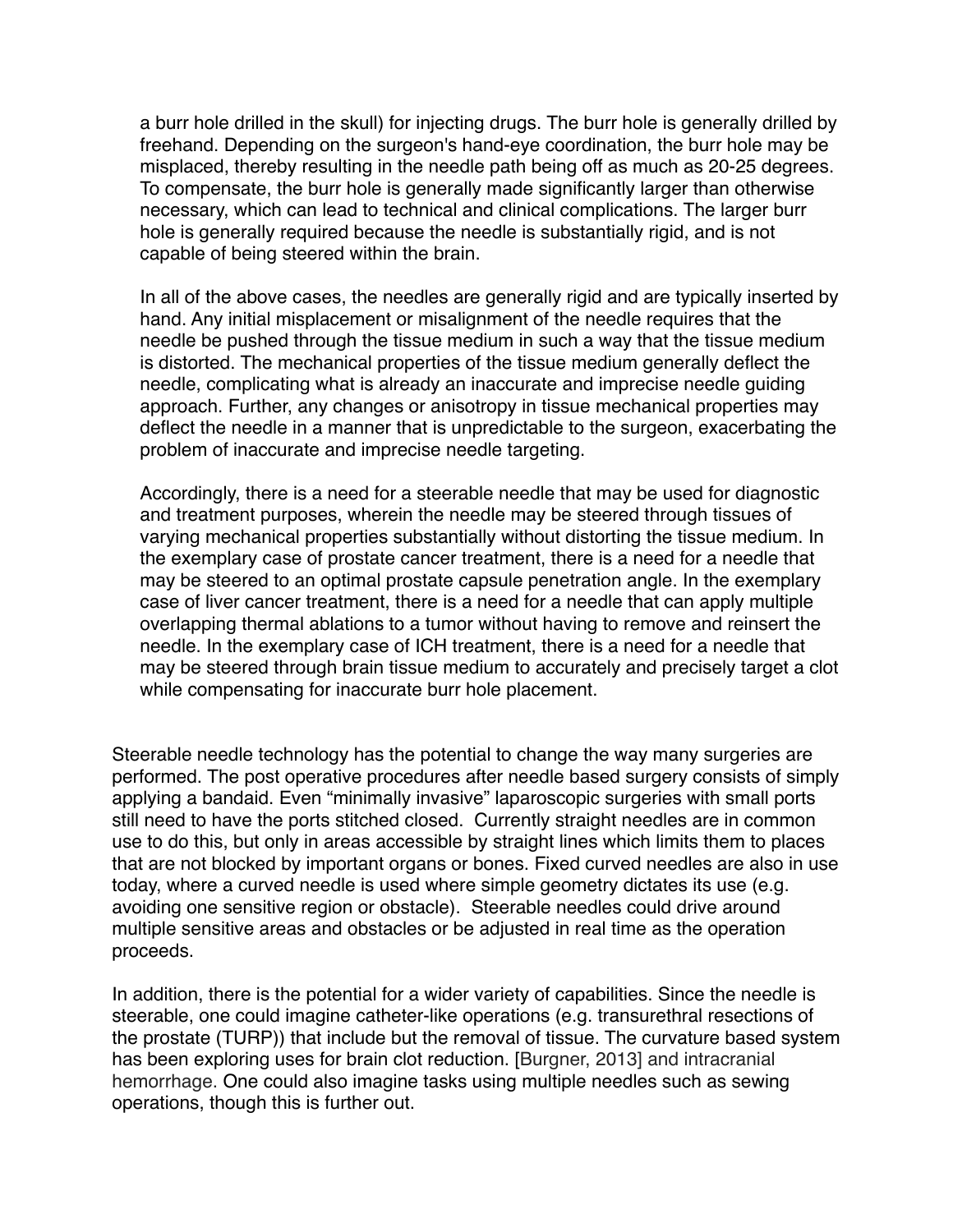a burr hole drilled in the skull) for injecting drugs. The burr hole is generally drilled by freehand. Depending on the surgeon's hand-eye coordination, the burr hole may be misplaced, thereby resulting in the needle path being off as much as 20-25 degrees. To compensate, the burr hole is generally made significantly larger than otherwise necessary, which can lead to technical and clinical complications. The larger burr hole is generally required because the needle is substantially rigid, and is not capable of being steered within the brain.

In all of the above cases, the needles are generally rigid and are typically inserted by hand. Any initial misplacement or misalignment of the needle requires that the needle be pushed through the tissue medium in such a way that the tissue medium is distorted. The mechanical properties of the tissue medium generally deflect the needle, complicating what is already an inaccurate and imprecise needle guiding approach. Further, any changes or anisotropy in tissue mechanical properties may deflect the needle in a manner that is unpredictable to the surgeon, exacerbating the problem of inaccurate and imprecise needle targeting.

Accordingly, there is a need for a steerable needle that may be used for diagnostic and treatment purposes, wherein the needle may be steered through tissues of varying mechanical properties substantially without distorting the tissue medium. In the exemplary case of prostate cancer treatment, there is a need for a needle that may be steered to an optimal prostate capsule penetration angle. In the exemplary case of liver cancer treatment, there is a need for a needle that can apply multiple overlapping thermal ablations to a tumor without having to remove and reinsert the needle. In the exemplary case of ICH treatment, there is a need for a needle that may be steered through brain tissue medium to accurately and precisely target a clot while compensating for inaccurate burr hole placement.

Steerable needle technology has the potential to change the way many surgeries are performed. The post operative procedures after needle based surgery consists of simply applying a bandaid. Even "minimally invasive" laparoscopic surgeries with small ports still need to have the ports stitched closed. Currently straight needles are in common use to do this, but only in areas accessible by straight lines which limits them to places that are not blocked by important organs or bones. Fixed curved needles are also in use today, where a curved needle is used where simple geometry dictates its use (e.g. avoiding one sensitive region or obstacle). Steerable needles could drive around multiple sensitive areas and obstacles or be adjusted in real time as the operation proceeds.

In addition, there is the potential for a wider variety of capabilities. Since the needle is steerable, one could imagine catheter-like operations (e.g. transurethral resections of the prostate (TURP)) that include but the removal of tissue. The curvature based system has been exploring uses for brain clot reduction. [Burgner, 2013] and intracranial hemorrhage. One could also imagine tasks using multiple needles such as sewing operations, though this is further out.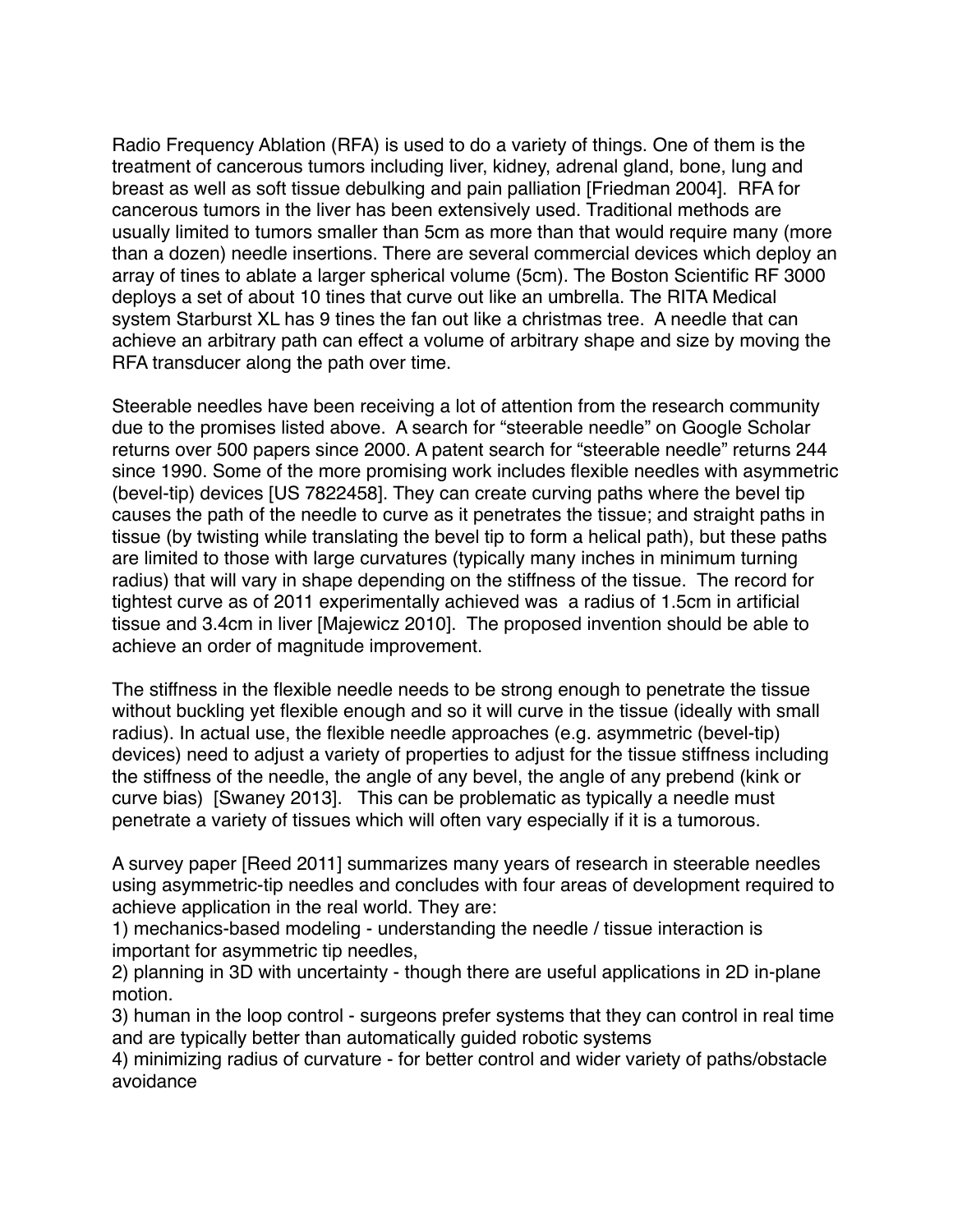Radio Frequency Ablation (RFA) is used to do a variety of things. One of them is the treatment of cancerous tumors including liver, kidney, adrenal gland, bone, lung and breast as well as soft tissue debulking and pain palliation [Friedman 2004]. RFA for cancerous tumors in the liver has been extensively used. Traditional methods are usually limited to tumors smaller than 5cm as more than that would require many (more than a dozen) needle insertions. There are several commercial devices which deploy an array of tines to ablate a larger spherical volume (5cm). The Boston Scientific RF 3000 deploys a set of about 10 tines that curve out like an umbrella. The RITA Medical system Starburst XL has 9 tines the fan out like a christmas tree. A needle that can achieve an arbitrary path can effect a volume of arbitrary shape and size by moving the RFA transducer along the path over time.

Steerable needles have been receiving a lot of attention from the research community due to the promises listed above. A search for "steerable needle" on Google Scholar returns over 500 papers since 2000. A patent search for "steerable needle" returns 244 since 1990. Some of the more promising work includes flexible needles with asymmetric (bevel-tip) devices [US 7822458]. They can create curving paths where the bevel tip causes the path of the needle to curve as it penetrates the tissue; and straight paths in tissue (by twisting while translating the bevel tip to form a helical path), but these paths are limited to those with large curvatures (typically many inches in minimum turning radius) that will vary in shape depending on the stiffness of the tissue. The record for tightest curve as of 2011 experimentally achieved was a radius of 1.5cm in artificial tissue and 3.4cm in liver [Majewicz 2010]. The proposed invention should be able to achieve an order of magnitude improvement.

The stiffness in the flexible needle needs to be strong enough to penetrate the tissue without buckling yet flexible enough and so it will curve in the tissue (ideally with small radius). In actual use, the flexible needle approaches (e.g. asymmetric (bevel-tip) devices) need to adjust a variety of properties to adjust for the tissue stiffness including the stiffness of the needle, the angle of any bevel, the angle of any prebend (kink or curve bias) [Swaney 2013]. This can be problematic as typically a needle must penetrate a variety of tissues which will often vary especially if it is a tumorous.

A survey paper [Reed 2011] summarizes many years of research in steerable needles using asymmetric-tip needles and concludes with four areas of development required to achieve application in the real world. They are:

1) mechanics-based modeling - understanding the needle / tissue interaction is important for asymmetric tip needles,

2) planning in 3D with uncertainty - though there are useful applications in 2D in-plane motion.

3) human in the loop control - surgeons prefer systems that they can control in real time and are typically better than automatically guided robotic systems

4) minimizing radius of curvature - for better control and wider variety of paths/obstacle avoidance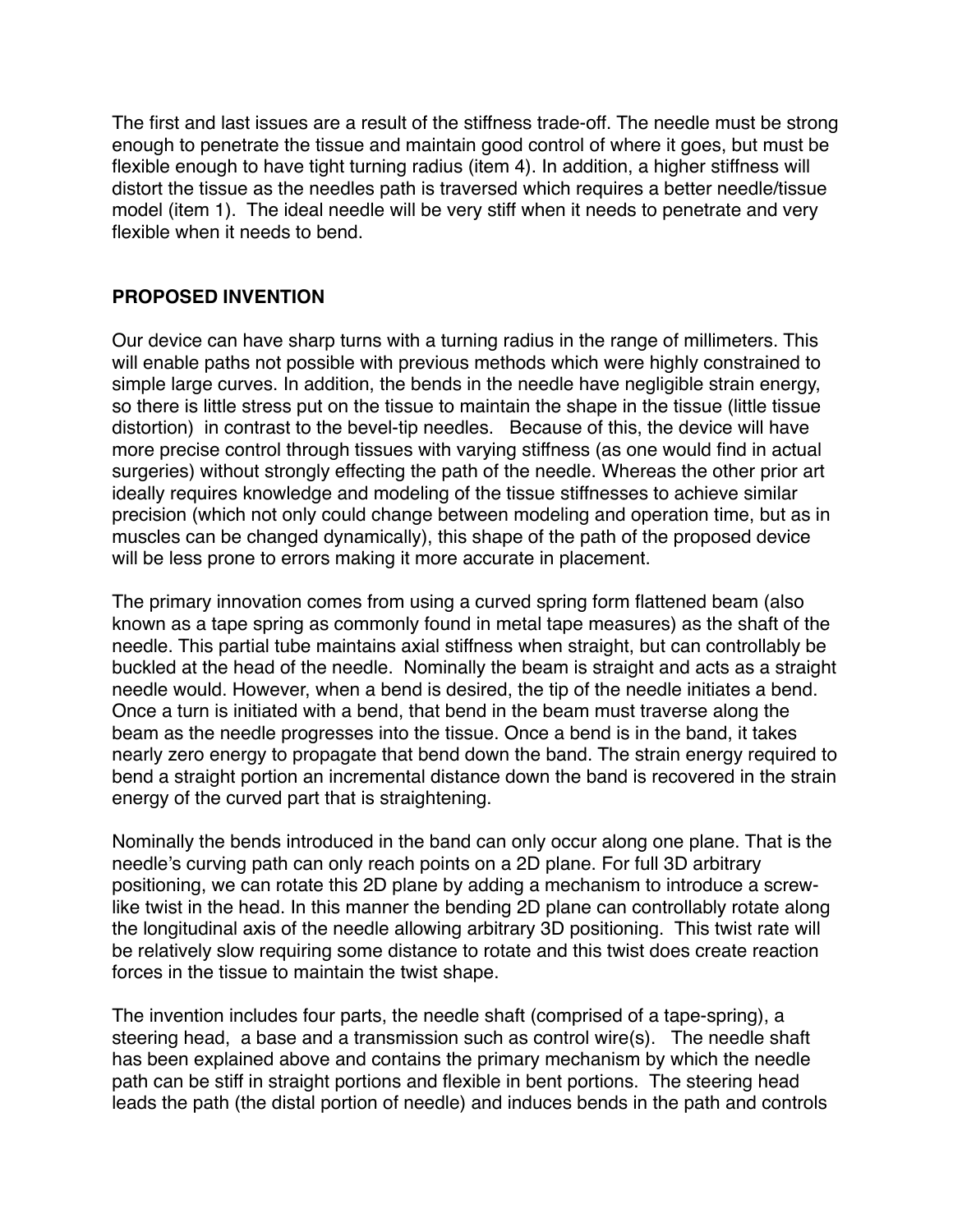The first and last issues are a result of the stiffness trade-off. The needle must be strong enough to penetrate the tissue and maintain good control of where it goes, but must be flexible enough to have tight turning radius (item 4). In addition, a higher stiffness will distort the tissue as the needles path is traversed which requires a better needle/tissue model (item 1). The ideal needle will be very stiff when it needs to penetrate and very flexible when it needs to bend.

# **PROPOSED INVENTION**

Our device can have sharp turns with a turning radius in the range of millimeters. This will enable paths not possible with previous methods which were highly constrained to simple large curves. In addition, the bends in the needle have negligible strain energy, so there is little stress put on the tissue to maintain the shape in the tissue (little tissue distortion) in contrast to the bevel-tip needles. Because of this, the device will have more precise control through tissues with varying stiffness (as one would find in actual surgeries) without strongly effecting the path of the needle. Whereas the other prior art ideally requires knowledge and modeling of the tissue stiffnesses to achieve similar precision (which not only could change between modeling and operation time, but as in muscles can be changed dynamically), this shape of the path of the proposed device will be less prone to errors making it more accurate in placement.

The primary innovation comes from using a curved spring form flattened beam (also known as a tape spring as commonly found in metal tape measures) as the shaft of the needle. This partial tube maintains axial stiffness when straight, but can controllably be buckled at the head of the needle. Nominally the beam is straight and acts as a straight needle would. However, when a bend is desired, the tip of the needle initiates a bend. Once a turn is initiated with a bend, that bend in the beam must traverse along the beam as the needle progresses into the tissue. Once a bend is in the band, it takes nearly zero energy to propagate that bend down the band. The strain energy required to bend a straight portion an incremental distance down the band is recovered in the strain energy of the curved part that is straightening.

Nominally the bends introduced in the band can only occur along one plane. That is the needle's curving path can only reach points on a 2D plane. For full 3D arbitrary positioning, we can rotate this 2D plane by adding a mechanism to introduce a screwlike twist in the head. In this manner the bending 2D plane can controllably rotate along the longitudinal axis of the needle allowing arbitrary 3D positioning. This twist rate will be relatively slow requiring some distance to rotate and this twist does create reaction forces in the tissue to maintain the twist shape.

The invention includes four parts, the needle shaft (comprised of a tape-spring), a steering head, a base and a transmission such as control wire(s). The needle shaft has been explained above and contains the primary mechanism by which the needle path can be stiff in straight portions and flexible in bent portions. The steering head leads the path (the distal portion of needle) and induces bends in the path and controls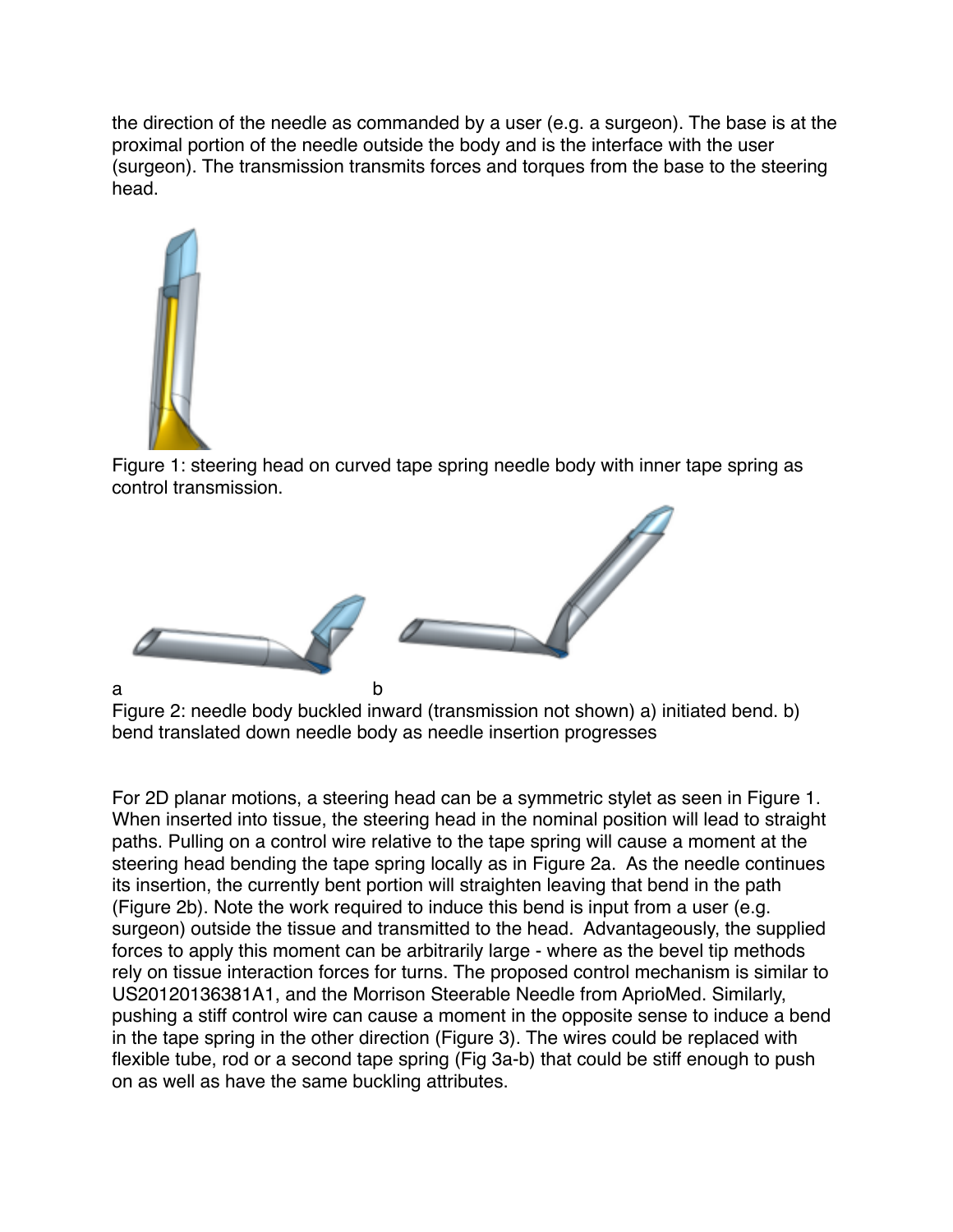the direction of the needle as commanded by a user (e.g. a surgeon). The base is at the proximal portion of the needle outside the body and is the interface with the user (surgeon). The transmission transmits forces and torques from the base to the steering head.



Figure 1: steering head on curved tape spring needle body with inner tape spring as control transmission.



Figure 2: needle body buckled inward (transmission not shown) a) initiated bend. b) bend translated down needle body as needle insertion progresses

For 2D planar motions, a steering head can be a symmetric stylet as seen in Figure 1. When inserted into tissue, the steering head in the nominal position will lead to straight paths. Pulling on a control wire relative to the tape spring will cause a moment at the steering head bending the tape spring locally as in Figure 2a. As the needle continues its insertion, the currently bent portion will straighten leaving that bend in the path (Figure 2b). Note the work required to induce this bend is input from a user (e.g. surgeon) outside the tissue and transmitted to the head. Advantageously, the supplied forces to apply this moment can be arbitrarily large - where as the bevel tip methods rely on tissue interaction forces for turns. The proposed control mechanism is similar to US20120136381A1, and the Morrison Steerable Needle from AprioMed. Similarly, pushing a stiff control wire can cause a moment in the opposite sense to induce a bend in the tape spring in the other direction (Figure 3). The wires could be replaced with flexible tube, rod or a second tape spring (Fig 3a-b) that could be stiff enough to push on as well as have the same buckling attributes.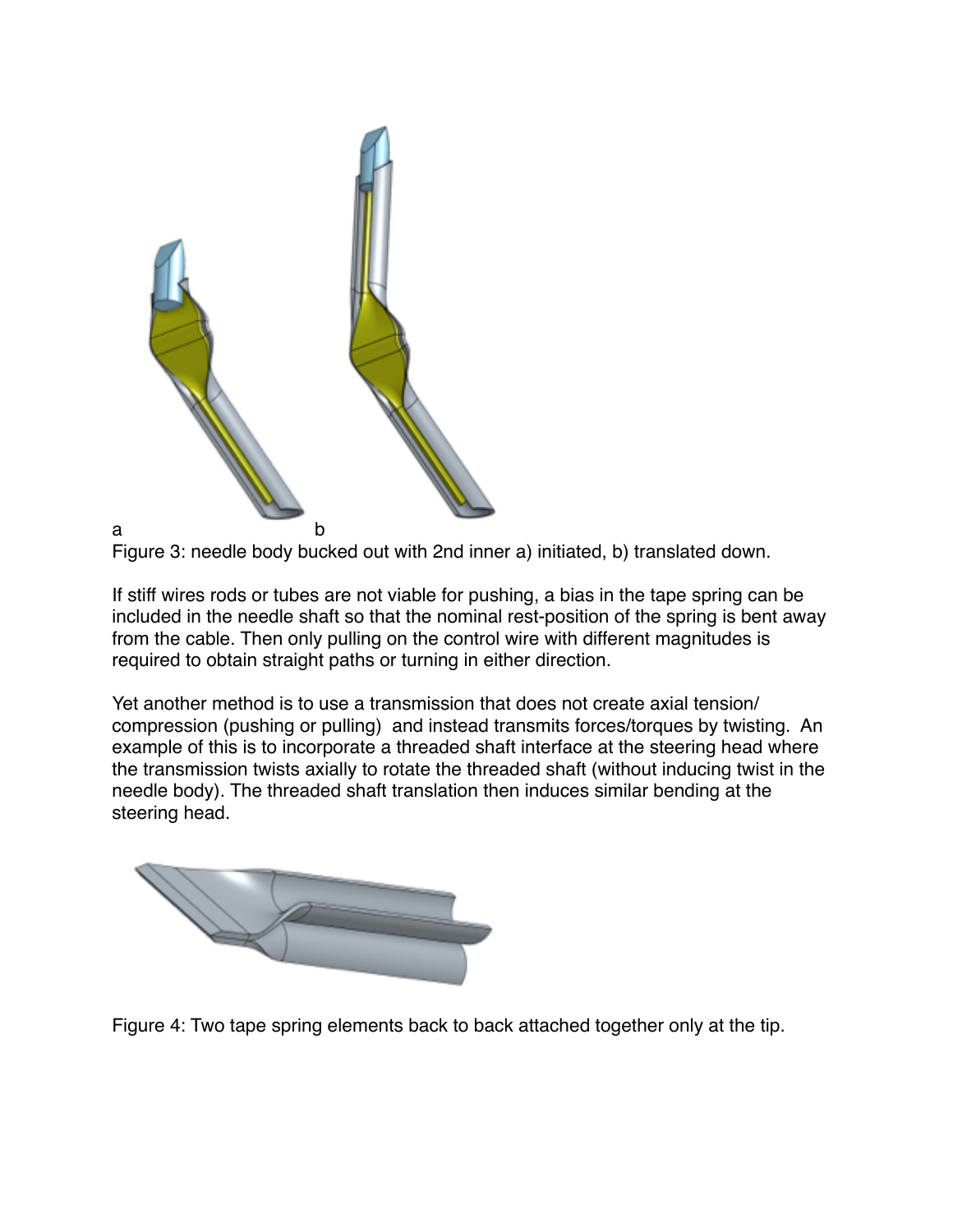



If stiff wires rods or tubes are not viable for pushing, a bias in the tape spring can be included in the needle shaft so that the nominal rest-position of the spring is bent away from the cable. Then only pulling on the control wire with different magnitudes is required to obtain straight paths or turning in either direction.

Yet another method is to use a transmission that does not create axial tension/ compression (pushing or pulling) and instead transmits forces/torques by twisting. An example of this is to incorporate a threaded shaft interface at the steering head where the transmission twists axially to rotate the threaded shaft (without inducing twist in the needle body). The threaded shaft translation then induces similar bending at the steering head.



Figure 4: Two tape spring elements back to back attached together only at the tip.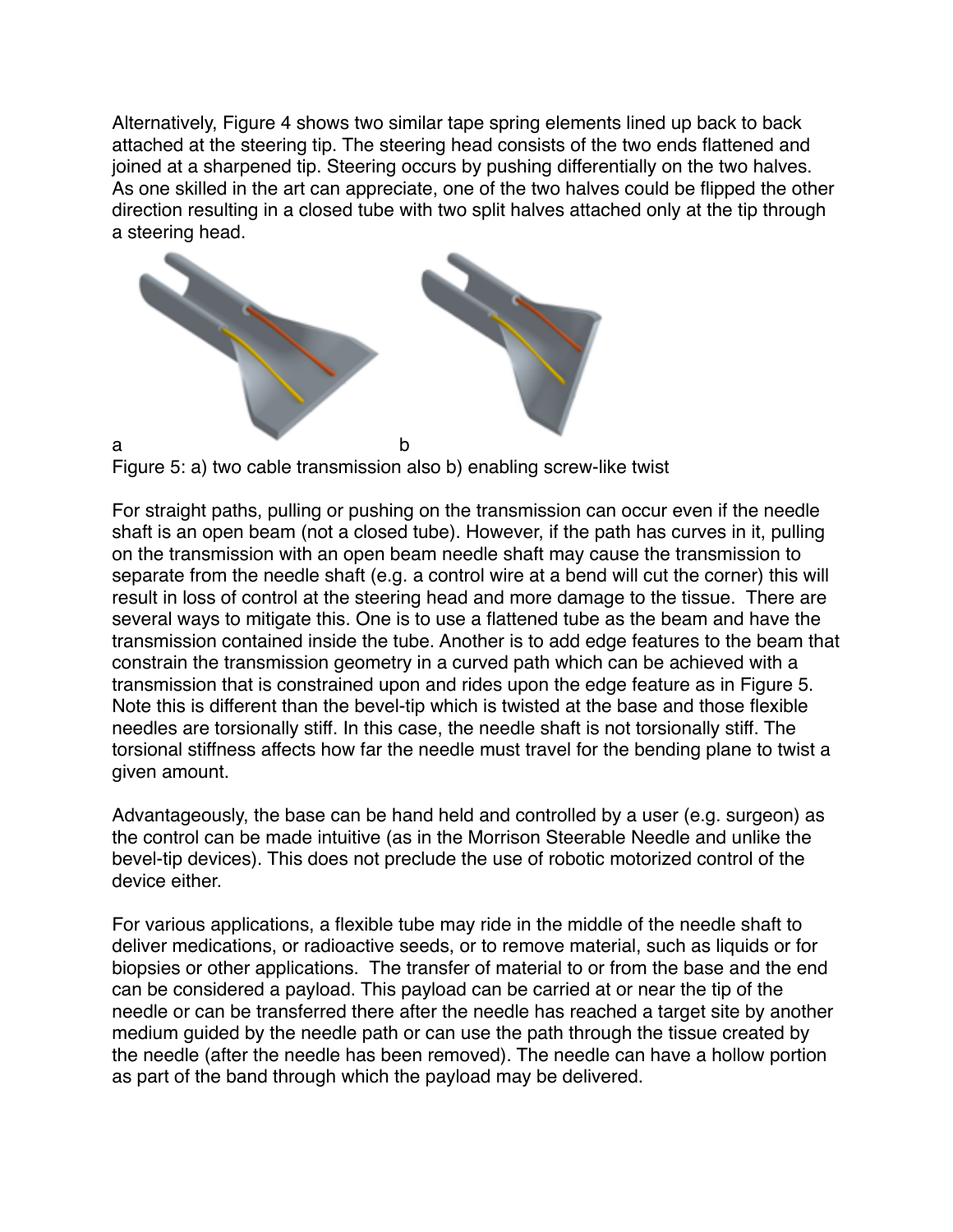Alternatively, Figure 4 shows two similar tape spring elements lined up back to back attached at the steering tip. The steering head consists of the two ends flattened and joined at a sharpened tip. Steering occurs by pushing differentially on the two halves. As one skilled in the art can appreciate, one of the two halves could be flipped the other direction resulting in a closed tube with two split halves attached only at the tip through a steering head.



Figure 5: a) two cable transmission also b) enabling screw-like twist

For straight paths, pulling or pushing on the transmission can occur even if the needle shaft is an open beam (not a closed tube). However, if the path has curves in it, pulling on the transmission with an open beam needle shaft may cause the transmission to separate from the needle shaft (e.g. a control wire at a bend will cut the corner) this will result in loss of control at the steering head and more damage to the tissue. There are several ways to mitigate this. One is to use a flattened tube as the beam and have the transmission contained inside the tube. Another is to add edge features to the beam that constrain the transmission geometry in a curved path which can be achieved with a transmission that is constrained upon and rides upon the edge feature as in Figure 5. Note this is different than the bevel-tip which is twisted at the base and those flexible needles are torsionally stiff. In this case, the needle shaft is not torsionally stiff. The torsional stiffness affects how far the needle must travel for the bending plane to twist a given amount.

Advantageously, the base can be hand held and controlled by a user (e.g. surgeon) as the control can be made intuitive (as in the Morrison Steerable Needle and unlike the bevel-tip devices). This does not preclude the use of robotic motorized control of the device either.

For various applications, a flexible tube may ride in the middle of the needle shaft to deliver medications, or radioactive seeds, or to remove material, such as liquids or for biopsies or other applications. The transfer of material to or from the base and the end can be considered a payload. This payload can be carried at or near the tip of the needle or can be transferred there after the needle has reached a target site by another medium guided by the needle path or can use the path through the tissue created by the needle (after the needle has been removed). The needle can have a hollow portion as part of the band through which the payload may be delivered.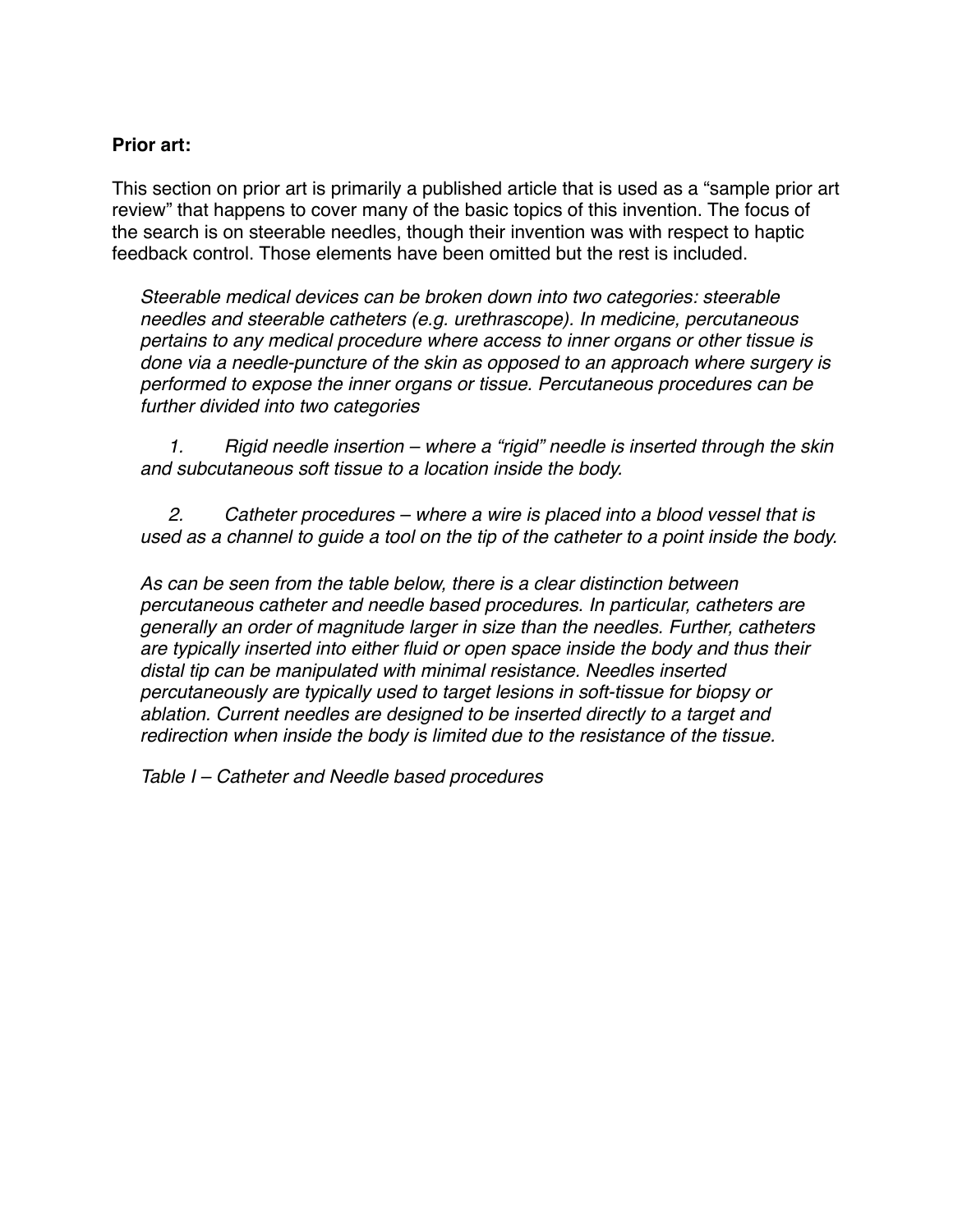### **Prior art:**

This section on prior art is primarily a published article that is used as a "sample prior art review" that happens to cover many of the basic topics of this invention. The focus of the search is on steerable needles, though their invention was with respect to haptic feedback control. Those elements have been omitted but the rest is included.

*Steerable medical devices can be broken down into two categories: steerable needles and steerable catheters (e.g. urethrascope). In medicine, percutaneous pertains to any medical procedure where access to inner organs or other tissue is done via a needle-puncture of the skin as opposed to an approach where surgery is performed to expose the inner organs or tissue. Percutaneous procedures can be further divided into two categories* 

 *1. Rigid needle insertion – where a "rigid" needle is inserted through the skin and subcutaneous soft tissue to a location inside the body.* 

 *2. Catheter procedures – where a wire is placed into a blood vessel that is used as a channel to guide a tool on the tip of the catheter to a point inside the body.* 

*As can be seen from the table below, there is a clear distinction between percutaneous catheter and needle based procedures. In particular, catheters are generally an order of magnitude larger in size than the needles. Further, catheters are typically inserted into either fluid or open space inside the body and thus their distal tip can be manipulated with minimal resistance. Needles inserted percutaneously are typically used to target lesions in soft-tissue for biopsy or ablation. Current needles are designed to be inserted directly to a target and redirection when inside the body is limited due to the resistance of the tissue.* 

*Table I – Catheter and Needle based procedures*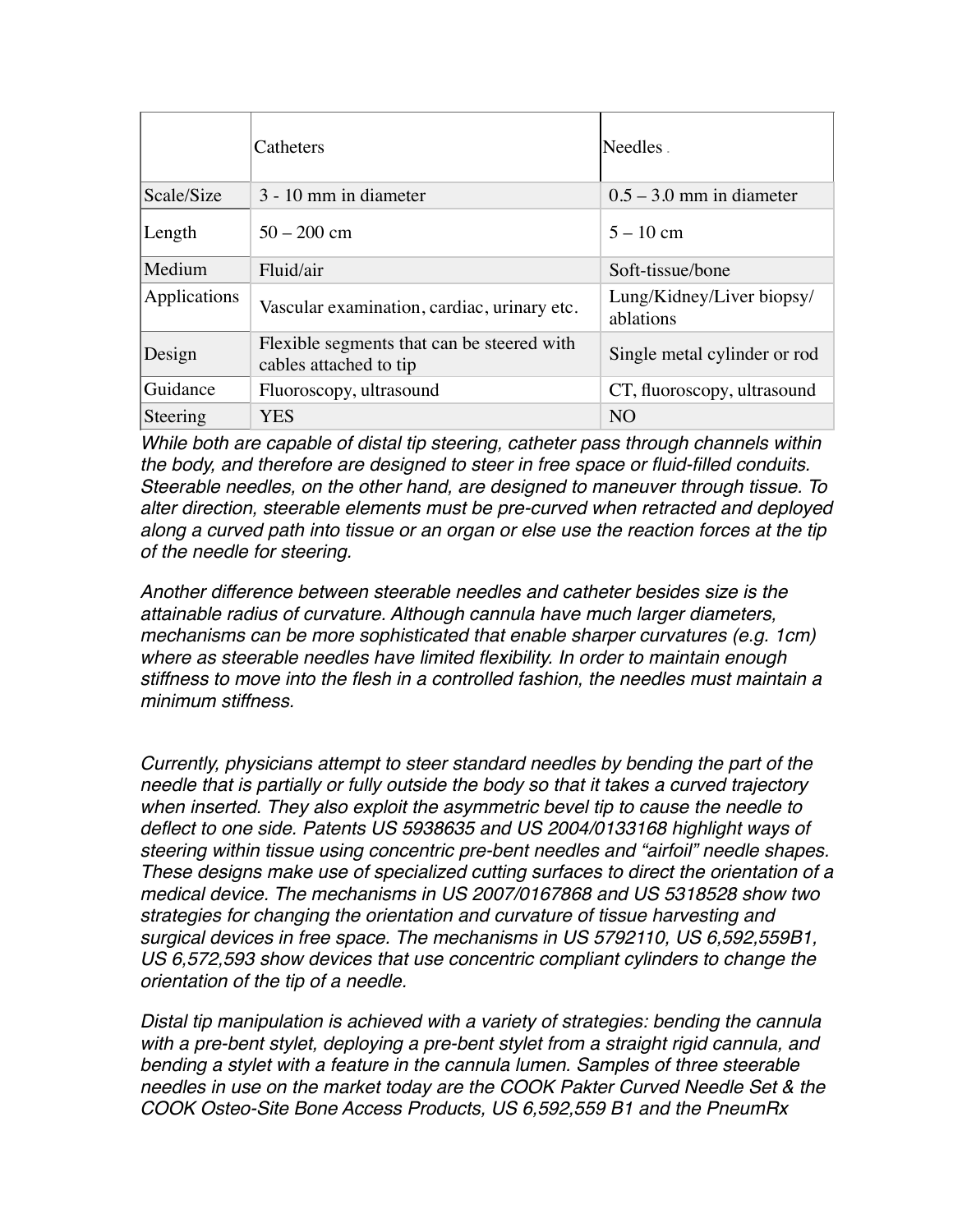|              | Catheters                                                            | Needles.                               |
|--------------|----------------------------------------------------------------------|----------------------------------------|
| Scale/Size   | 3 - 10 mm in diameter                                                | $0.5 - 3.0$ mm in diameter             |
| Length       | $50 - 200$ cm                                                        | $5 - 10$ cm                            |
| Medium       | Fluid/air                                                            | Soft-tissue/bone                       |
| Applications | Vascular examination, cardiac, urinary etc.                          | Lung/Kidney/Liver biopsy/<br>ablations |
| Design       | Flexible segments that can be steered with<br>cables attached to tip | Single metal cylinder or rod           |
| Guidance     | Fluoroscopy, ultrasound                                              | CT, fluoroscopy, ultrasound            |
| Steering     | <b>YES</b>                                                           | N <sub>O</sub>                         |

*While both are capable of distal tip steering, catheter pass through channels within the body, and therefore are designed to steer in free space or fluid-filled conduits. Steerable needles, on the other hand, are designed to maneuver through tissue. To alter direction, steerable elements must be pre-curved when retracted and deployed along a curved path into tissue or an organ or else use the reaction forces at the tip of the needle for steering.* 

*Another difference between steerable needles and catheter besides size is the attainable radius of curvature. Although cannula have much larger diameters, mechanisms can be more sophisticated that enable sharper curvatures (e.g. 1cm) where as steerable needles have limited flexibility. In order to maintain enough stiffness to move into the flesh in a controlled fashion, the needles must maintain a minimum stiffness.* 

*Currently, physicians attempt to steer standard needles by bending the part of the needle that is partially or fully outside the body so that it takes a curved trajectory when inserted. They also exploit the asymmetric bevel tip to cause the needle to deflect to one side. Patents US 5938635 and US 2004/0133168 highlight ways of steering within tissue using concentric pre-bent needles and "airfoil" needle shapes. These designs make use of specialized cutting surfaces to direct the orientation of a medical device. The mechanisms in US 2007/0167868 and US 5318528 show two strategies for changing the orientation and curvature of tissue harvesting and surgical devices in free space. The mechanisms in US 5792110, US 6,592,559B1, US 6,572,593 show devices that use concentric compliant cylinders to change the orientation of the tip of a needle.* 

*Distal tip manipulation is achieved with a variety of strategies: bending the cannula with a pre-bent stylet, deploying a pre-bent stylet from a straight rigid cannula, and bending a stylet with a feature in the cannula lumen. Samples of three steerable needles in use on the market today are the COOK Pakter Curved Needle Set & the COOK Osteo-Site Bone Access Products, US 6,592,559 B1 and the PneumRx*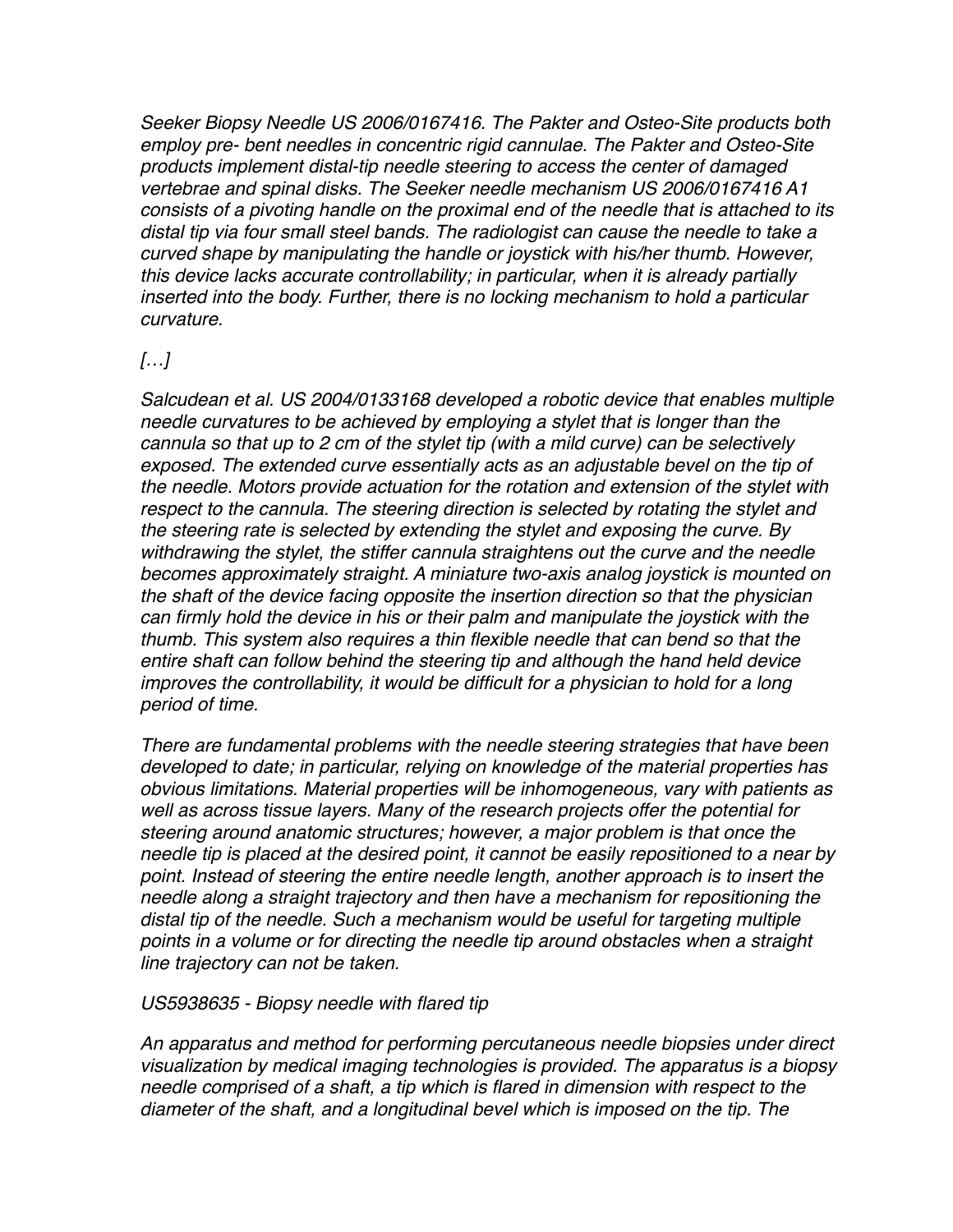*Seeker Biopsy Needle US 2006/0167416. The Pakter and Osteo-Site products both employ pre- bent needles in concentric rigid cannulae. The Pakter and Osteo-Site products implement distal-tip needle steering to access the center of damaged vertebrae and spinal disks. The Seeker needle mechanism US 2006/0167416 A1 consists of a pivoting handle on the proximal end of the needle that is attached to its distal tip via four small steel bands. The radiologist can cause the needle to take a curved shape by manipulating the handle or joystick with his/her thumb. However, this device lacks accurate controllability; in particular, when it is already partially inserted into the body. Further, there is no locking mechanism to hold a particular curvature.* 

# *[…]*

*Salcudean et al. US 2004/0133168 developed a robotic device that enables multiple needle curvatures to be achieved by employing a stylet that is longer than the cannula so that up to 2 cm of the stylet tip (with a mild curve) can be selectively exposed. The extended curve essentially acts as an adjustable bevel on the tip of the needle. Motors provide actuation for the rotation and extension of the stylet with respect to the cannula. The steering direction is selected by rotating the stylet and the steering rate is selected by extending the stylet and exposing the curve. By withdrawing the stylet, the stiffer cannula straightens out the curve and the needle becomes approximately straight. A miniature two-axis analog joystick is mounted on the shaft of the device facing opposite the insertion direction so that the physician can firmly hold the device in his or their palm and manipulate the joystick with the thumb. This system also requires a thin flexible needle that can bend so that the entire shaft can follow behind the steering tip and although the hand held device improves the controllability, it would be difficult for a physician to hold for a long period of time.* 

*There are fundamental problems with the needle steering strategies that have been developed to date; in particular, relying on knowledge of the material properties has obvious limitations. Material properties will be inhomogeneous, vary with patients as well as across tissue layers. Many of the research projects offer the potential for steering around anatomic structures; however, a major problem is that once the needle tip is placed at the desired point, it cannot be easily repositioned to a near by*  point. Instead of steering the entire needle length, another approach is to insert the *needle along a straight trajectory and then have a mechanism for repositioning the distal tip of the needle. Such a mechanism would be useful for targeting multiple points in a volume or for directing the needle tip around obstacles when a straight line trajectory can not be taken.* 

#### *US5938635 - Biopsy needle with flared tip*

*An apparatus and method for performing percutaneous needle biopsies under direct visualization by medical imaging technologies is provided. The apparatus is a biopsy needle comprised of a shaft, a tip which is flared in dimension with respect to the diameter of the shaft, and a longitudinal bevel which is imposed on the tip. The*